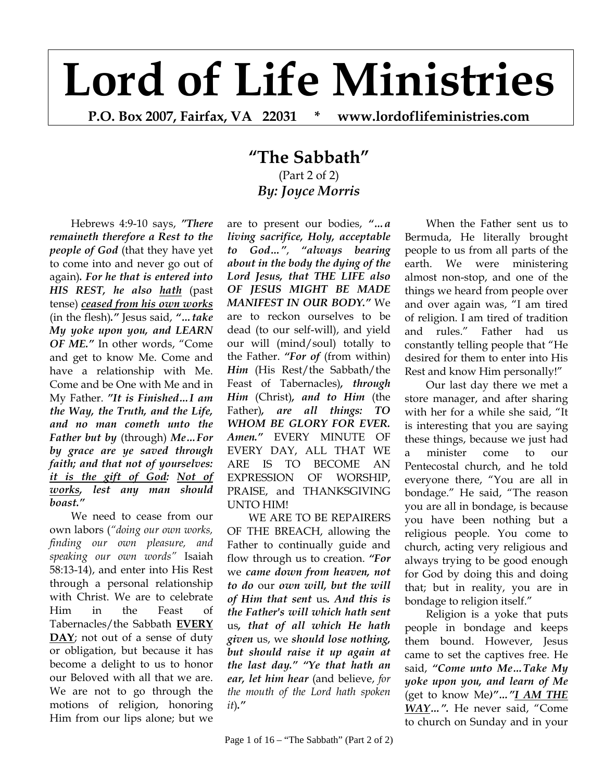# **Lord of Life Ministries**

**P.O. Box 2007, Fairfax, VA 22031 \* www.lordoflifeministries.com** 

## **"The Sabbath"** (Part 2 of 2) *By: Joyce Morris*

Hebrews 4:9-10 says, *"There remaineth therefore a Rest to the people of God* (that they have yet to come into and never go out of again)*. For he that is entered into HIS REST, he also hath* (past tense) *ceased from his own works* (in the flesh)*."* Jesus said, *"…take My yoke upon you, and LEARN OF ME."* In other words, "Come and get to know Me. Come and have a relationship with Me. Come and be One with Me and in My Father. *"It is Finished…I am the Way, the Truth, and the Life, and no man cometh unto the Father but by* (through) *Me…For by grace are ye saved through faith; and that not of yourselves: it is the gift of God: Not of works, lest any man should boast."*

We need to cease from our own labors (*"doing our own works, finding our own pleasure, and speaking our own words"* Isaiah 58:13-14), and enter into His Rest through a personal relationship with Christ. We are to celebrate Him in the Feast of Tabernacles/the Sabbath **EVERY DAY**; not out of a sense of duty or obligation, but because it has become a delight to us to honor our Beloved with all that we are. We are not to go through the motions of religion, honoring Him from our lips alone; but we

are to present our bodies, *"…a living sacrifice, Holy, acceptable to God…"*, *"always bearing about in the body the dying of the Lord Jesus, that THE LIFE also OF JESUS MIGHT BE MADE MANIFEST IN OUR BODY."* We are to reckon ourselves to be dead (to our self-will), and yield our will (mind/soul) totally to the Father. *"For of* (from within) *Him* (His Rest/the Sabbath/the Feast of Tabernacles)*, through Him* (Christ)*, and to Him* (the Father)*, are all things: TO WHOM BE GLORY FOR EVER. Amen."* EVERY MINUTE OF EVERY DAY, ALL THAT WE ARE IS TO BECOME AN EXPRESSION OF WORSHIP, PRAISE, and THANKSGIVING UNTO HIM!

WE ARE TO BE REPAIRERS OF THE BREACH, allowing the Father to continually guide and flow through us to creation. *"For*  we *came down from heaven, not to do* our *own will, but the will of Him that sent* us*. And this is the Father's will which hath sent*  us*, that of all which He hath given* us, we *should lose nothing, but should raise it up again at the last day." "Ye that hath an ear, let him hear* (and believe, *for the mouth of the Lord hath spoken it*)*."*

When the Father sent us to Bermuda, He literally brought people to us from all parts of the earth. We were ministering almost non-stop, and one of the things we heard from people over and over again was, "I am tired of religion. I am tired of tradition and rules." Father had us constantly telling people that "He desired for them to enter into His Rest and know Him personally!"

Our last day there we met a store manager, and after sharing with her for a while she said, "It is interesting that you are saying these things, because we just had a minister come to our Pentecostal church, and he told everyone there, "You are all in bondage." He said, "The reason you are all in bondage, is because you have been nothing but a religious people. You come to church, acting very religious and always trying to be good enough for God by doing this and doing that; but in reality, you are in bondage to religion itself."

Religion is a yoke that puts people in bondage and keeps them bound. However, Jesus came to set the captives free. He said, *"Come unto Me…Take My yoke upon you, and learn of Me* (get to know Me*)"…"I AM THE WAY…".* He never said, "Come to church on Sunday and in your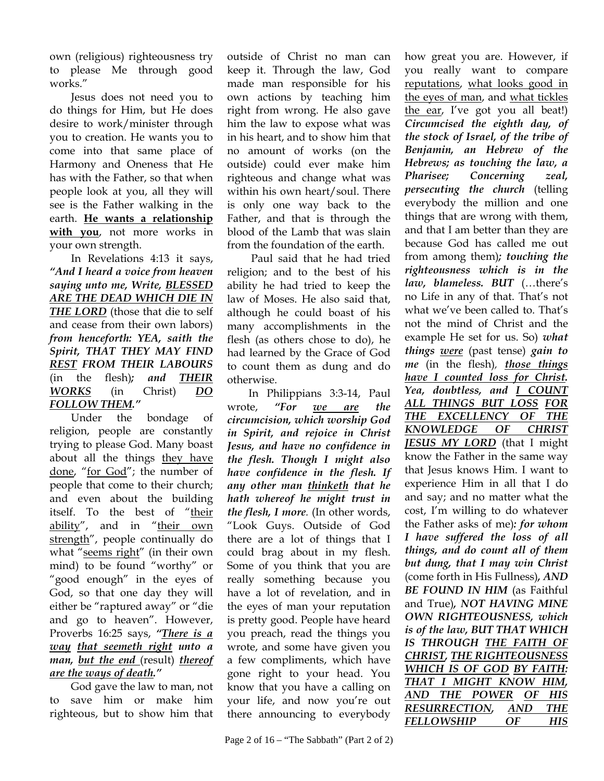own (religious) righteousness try to please Me through good works."

Jesus does not need you to do things for Him, but He does desire to work/minister through you to creation. He wants you to come into that same place of Harmony and Oneness that He has with the Father, so that when people look at you, all they will see is the Father walking in the earth. **He wants a relationship with you**, not more works in your own strength.

In Revelations 4:13 it says, *"And I heard a voice from heaven saying unto me, Write, BLESSED ARE THE DEAD WHICH DIE IN THE LORD* (those that die to self and cease from their own labors) *from henceforth: YEA, saith the Spirit, THAT THEY MAY FIND REST FROM THEIR LABOURS*  (in the flesh)*; and THEIR WORKS* (in Christ) *DO FOLLOW THEM."*

Under the bondage of religion, people are constantly trying to please God. Many boast about all the things they have done, "for God"; the number of people that come to their church; and even about the building itself. To the best of "their ability", and in "their own strength", people continually do what "seems right" (in their own mind) to be found "worthy" or "good enough" in the eyes of God, so that one day they will either be "raptured away" or "die and go to heaven". However, Proverbs 16:25 says, *"There is a way that seemeth right unto a man, but the end* (result) *thereof are the ways of death."*

God gave the law to man, not to save him or make him righteous, but to show him that

outside of Christ no man can keep it. Through the law, God made man responsible for his own actions by teaching him right from wrong. He also gave him the law to expose what was in his heart, and to show him that no amount of works (on the outside) could ever make him righteous and change what was within his own heart/soul. There is only one way back to the Father, and that is through the blood of the Lamb that was slain from the foundation of the earth.

 Paul said that he had tried religion; and to the best of his ability he had tried to keep the law of Moses. He also said that, although he could boast of his many accomplishments in the flesh (as others chose to do), he had learned by the Grace of God to count them as dung and do otherwise.

In Philippians 3:3-14, Paul wrote, *"For we are the circumcision, which worship God in Spirit, and rejoice in Christ Jesus, and have no confidence in the flesh. Though I might also have confidence in the flesh. If any other man thinketh that he hath whereof he might trust in the flesh, I more.* (In other words, "Look Guys. Outside of God there are a lot of things that I could brag about in my flesh. Some of you think that you are really something because you have a lot of revelation, and in the eyes of man your reputation is pretty good. People have heard you preach, read the things you wrote, and some have given you a few compliments, which have gone right to your head. You know that you have a calling on your life, and now you're out there announcing to everybody

*the stock of Israel, of the tribe of Benjamin, an Hebrew of the Hebrews; as touching the law, a Pharisee; Concerning zeal, persecuting the church* (telling everybody the million and one things that are wrong with them, and that I am better than they are because God has called me out from among them)*; touching the righteousness which is in the law, blameless. BUT* (…there's no Life in any of that. That's not what we've been called to. That's not the mind of Christ and the example He set for us. So) *what things were* (past tense) *gain to me* (in the flesh)*, those things have I counted loss for Christ. Yea, doubtless, and I COUNT ALL THINGS BUT LOSS FOR THE EXCELLENCY OF THE KNOWLEDGE OF CHRIST JESUS MY LORD* (that I might know the Father in the same way that Jesus knows Him. I want to experience Him in all that I do and say; and no matter what the cost, I'm willing to do whatever the Father asks of me)*: for whom I have suffered the loss of all things, and do count all of them but dung, that I may win Christ* (come forth in His Fullness)*, AND BE FOUND IN HIM* (as Faithful and True)*, NOT HAVING MINE OWN RIGHTEOUSNESS, which is of the law, BUT THAT WHICH IS THROUGH THE FAITH OF CHRIST, THE RIGHTEOUSNESS WHICH IS OF GOD BY FAITH: THAT I MIGHT KNOW HIM, AND THE POWER OF HIS RESURRECTION, AND THE FELLOWSHIP OF HIS* 

how great you are. However, if you really want to compare reputations, what looks good in the eyes of man, and what tickles the ear, I've got you all beat!) *Circumcised the eighth day, of*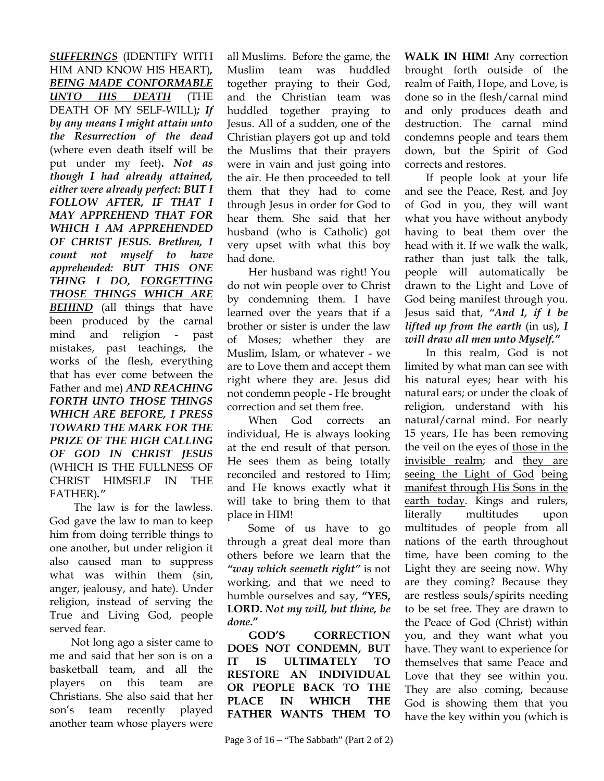*SUFFERINGS* (IDENTIFY WITH HIM AND KNOW HIS HEART)*, BEING MADE CONFORMABLE UNTO HIS DEATH* (THE DEATH OF MY SELF-WILL)*; If by any means I might attain unto the Resurrection of the dead* (where even death itself will be put under my feet)**.** *Not as though I had already attained, either were already perfect: BUT I FOLLOW AFTER, IF THAT I MAY APPREHEND THAT FOR WHICH I AM APPREHENDED OF CHRIST JESUS. Brethren, I count not myself to have apprehended: BUT THIS ONE THING I DO, FORGETTING THOSE THINGS WHICH ARE BEHIND* (all things that have been produced by the carnal mind and religion - past mistakes, past teachings, the works of the flesh, everything that has ever come between the Father and me) *AND REACHING FORTH UNTO THOSE THINGS WHICH ARE BEFORE, I PRESS TOWARD THE MARK FOR THE PRIZE OF THE HIGH CALLING OF GOD IN CHRIST JESUS* (WHICH IS THE FULLNESS OF CHRIST HIMSELF IN THE FATHER)*."*

 The law is for the lawless. God gave the law to man to keep him from doing terrible things to one another, but under religion it also caused man to suppress what was within them (sin, anger, jealousy, and hate). Under religion, instead of serving the True and Living God, people served fear.

Not long ago a sister came to me and said that her son is on a basketball team, and all the players on this team are Christians. She also said that her son's team recently played another team whose players were

all Muslims. Before the game, the Muslim team was huddled together praying to their God, and the Christian team was huddled together praying to Jesus. All of a sudden, one of the Christian players got up and told the Muslims that their prayers were in vain and just going into the air. He then proceeded to tell them that they had to come through Jesus in order for God to hear them. She said that her husband (who is Catholic) got very upset with what this boy had done.

Her husband was right! You do not win people over to Christ by condemning them. I have learned over the years that if a brother or sister is under the law of Moses; whether they are Muslim, Islam, or whatever - we are to Love them and accept them right where they are. Jesus did not condemn people - He brought correction and set them free.

When God corrects an individual, He is always looking at the end result of that person. He sees them as being totally reconciled and restored to Him; and He knows exactly what it will take to bring them to that place in HIM!

Some of us have to go through a great deal more than others before we learn that the *"way which seemeth right"* is not working, and that we need to humble ourselves and say, **"YES, LORD.** *Not my will, but thine, be done***."**

**GOD'S CORRECTION DOES NOT CONDEMN, BUT IT IS ULTIMATELY TO RESTORE AN INDIVIDUAL OR PEOPLE BACK TO THE PLACE IN WHICH THE FATHER WANTS THEM TO**  **WALK IN HIM!** Any correction brought forth outside of the realm of Faith, Hope, and Love, is done so in the flesh/carnal mind and only produces death and destruction. The carnal mind condemns people and tears them down, but the Spirit of God corrects and restores.

If people look at your life and see the Peace, Rest, and Joy of God in you, they will want what you have without anybody having to beat them over the head with it. If we walk the walk, rather than just talk the talk, people will automatically be drawn to the Light and Love of God being manifest through you. Jesus said that, *"And I, if I be lifted up from the earth* (in us)*, I will draw all men unto Myself."*

In this realm, God is not limited by what man can see with his natural eyes; hear with his natural ears; or under the cloak of religion, understand with his natural/carnal mind. For nearly 15 years, He has been removing the veil on the eyes of those in the invisible realm; and they are seeing the Light of God being manifest through His Sons in the earth today. Kings and rulers, literally multitudes upon multitudes of people from all nations of the earth throughout time, have been coming to the Light they are seeing now. Why are they coming? Because they are restless souls/spirits needing to be set free. They are drawn to the Peace of God (Christ) within you, and they want what you have. They want to experience for themselves that same Peace and Love that they see within you. They are also coming, because God is showing them that you have the key within you (which is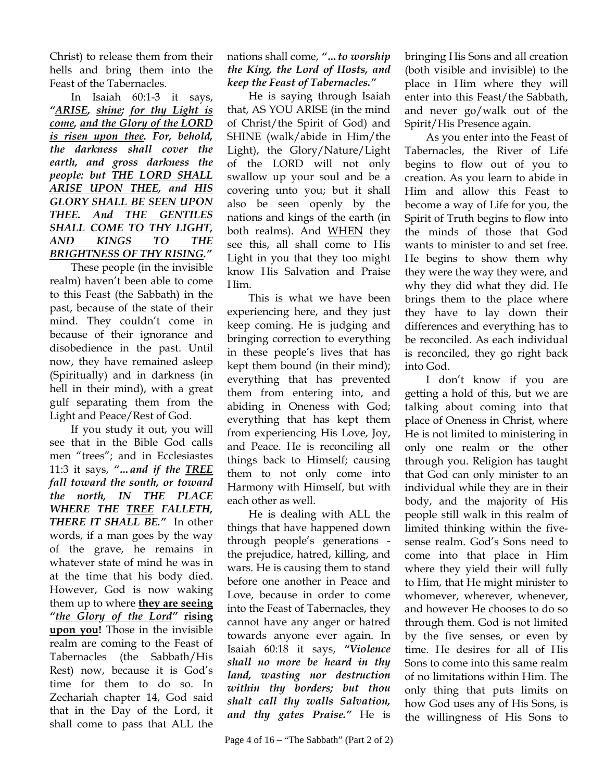Christ) to release them from their hells and bring them into the Feast of the Tabernacles.

In Isaiah 60:1-3 it says, *"ARISE, shine; for thy Light is come, and the Glory of the LORD is risen upon thee. For, behold, the darkness shall cover the earth, and gross darkness the people: but THE LORD SHALL ARISE UPON THEE, and HIS GLORY SHALL BE SEEN UPON THEE. And THE GENTILES SHALL COME TO THY LIGHT, AND KINGS TO THE BRIGHTNESS OF THY RISING."*

These people (in the invisible realm) haven't been able to come to this Feast (the Sabbath) in the past, because of the state of their mind. They couldn't come in because of their ignorance and disobedience in the past. Until now, they have remained asleep (Spiritually) and in darkness (in hell in their mind), with a great gulf separating them from the Light and Peace/Rest of God.

If you study it out, you will see that in the Bible God calls men "trees"; and in Ecclesiastes 11:3 it says, *"…and if the TREE fall toward the south, or toward the north, IN THE PLACE WHERE THE TREE FALLETH, THERE IT SHALL BE."* In other words, if a man goes by the way of the grave, he remains in whatever state of mind he was in at the time that his body died. However, God is now waking them up to where **they are seeing** *"the Glory of the Lord"* **rising upon you!** Those in the invisible realm are coming to the Feast of Tabernacles (the Sabbath/His Rest) now, because it is God's time for them to do so. In Zechariah chapter 14, God said that in the Day of the Lord, it shall come to pass that ALL the

nations shall come, *"…to worship the King, the Lord of Hosts, and keep the Feast of Tabernacles."*

He is saying through Isaiah that, AS YOU ARISE (in the mind of Christ/the Spirit of God) and SHINE (walk/abide in Him/the Light), the Glory/Nature/Light of the LORD will not only swallow up your soul and be a covering unto you; but it shall also be seen openly by the nations and kings of the earth (in both realms). And WHEN they see this, all shall come to His Light in you that they too might know His Salvation and Praise Him.

This is what we have been experiencing here, and they just keep coming. He is judging and bringing correction to everything in these people's lives that has kept them bound (in their mind); everything that has prevented them from entering into, and abiding in Oneness with God; everything that has kept them from experiencing His Love, Joy, and Peace. He is reconciling all things back to Himself; causing them to not only come into Harmony with Himself, but with each other as well.

He is dealing with ALL the things that have happened down through people's generations the prejudice, hatred, killing, and wars. He is causing them to stand before one another in Peace and Love, because in order to come into the Feast of Tabernacles, they cannot have any anger or hatred towards anyone ever again. In Isaiah 60:18 it says, *"Violence shall no more be heard in thy land, wasting nor destruction within thy borders; but thou shalt call thy walls Salvation, and thy gates Praise."* He is

bringing His Sons and all creation (both visible and invisible) to the place in Him where they will enter into this Feast/the Sabbath, and never go/walk out of the Spirit/His Presence again.

As you enter into the Feast of Tabernacles, the River of Life begins to flow out of you to creation. As you learn to abide in Him and allow this Feast to become a way of Life for you, the Spirit of Truth begins to flow into the minds of those that God wants to minister to and set free. He begins to show them why they were the way they were, and why they did what they did. He brings them to the place where they have to lay down their differences and everything has to be reconciled. As each individual is reconciled, they go right back into God.

I don't know if you are getting a hold of this, but we are talking about coming into that place of Oneness in Christ, where He is not limited to ministering in only one realm or the other through you. Religion has taught that God can only minister to an individual while they are in their body, and the majority of His people still walk in this realm of limited thinking within the fivesense realm. God's Sons need to come into that place in Him where they yield their will fully to Him, that He might minister to whomever, wherever, whenever, and however He chooses to do so through them. God is not limited by the five senses, or even by time. He desires for all of His Sons to come into this same realm of no limitations within Him. The only thing that puts limits on how God uses any of His Sons, is the willingness of His Sons to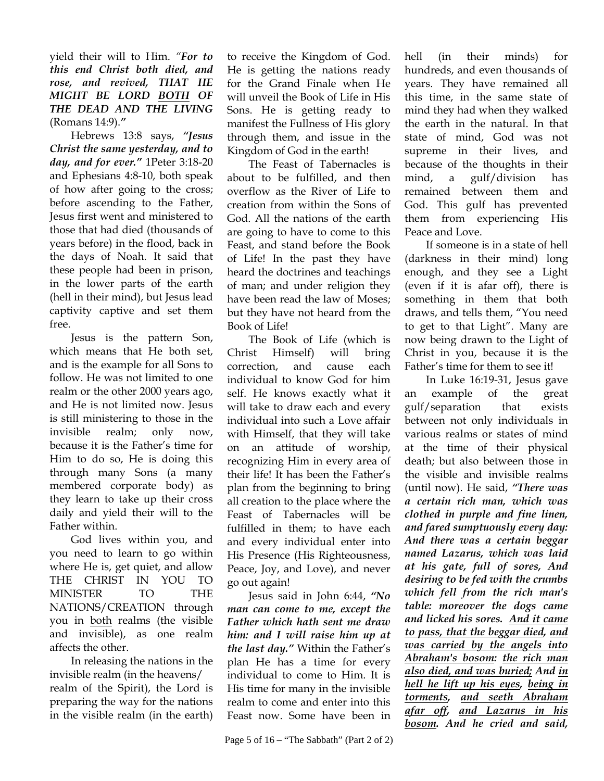yield their will to Him. *"For to this end Christ both died, and rose, and revived, THAT HE MIGHT BE LORD BOTH OF THE DEAD AND THE LIVING*  (Romans 14:9).*"*

Hebrews 13:8 says, *"Jesus Christ the same yesterday, and to day, and for ever."* 1Peter 3:18-20 and Ephesians 4:8-10, both speak of how after going to the cross; before ascending to the Father, Jesus first went and ministered to those that had died (thousands of years before) in the flood, back in the days of Noah. It said that these people had been in prison, in the lower parts of the earth (hell in their mind), but Jesus lead captivity captive and set them free.

Jesus is the pattern Son, which means that He both set, and is the example for all Sons to follow. He was not limited to one realm or the other 2000 years ago, and He is not limited now. Jesus is still ministering to those in the invisible realm; only now, because it is the Father's time for Him to do so, He is doing this through many Sons (a many membered corporate body) as they learn to take up their cross daily and yield their will to the Father within.

God lives within you, and you need to learn to go within where He is, get quiet, and allow THE CHRIST IN YOU TO MINISTER TO THE NATIONS/CREATION through you in both realms (the visible and invisible), as one realm affects the other.

In releasing the nations in the invisible realm (in the heavens/ realm of the Spirit), the Lord is preparing the way for the nations in the visible realm (in the earth)

to receive the Kingdom of God. He is getting the nations ready for the Grand Finale when He will unveil the Book of Life in His Sons. He is getting ready to manifest the Fullness of His glory through them, and issue in the Kingdom of God in the earth!

The Feast of Tabernacles is about to be fulfilled, and then overflow as the River of Life to creation from within the Sons of God. All the nations of the earth are going to have to come to this Feast, and stand before the Book of Life! In the past they have heard the doctrines and teachings of man; and under religion they have been read the law of Moses; but they have not heard from the Book of Life!

The Book of Life (which is Christ Himself) will bring correction, and cause each individual to know God for him self. He knows exactly what it will take to draw each and every individual into such a Love affair with Himself, that they will take on an attitude of worship, recognizing Him in every area of their life! It has been the Father's plan from the beginning to bring all creation to the place where the Feast of Tabernacles will be fulfilled in them; to have each and every individual enter into His Presence (His Righteousness, Peace, Joy, and Love), and never go out again!

Jesus said in John 6:44, *"No man can come to me, except the Father which hath sent me draw him: and I will raise him up at the last day."* Within the Father's plan He has a time for every individual to come to Him. It is His time for many in the invisible realm to come and enter into this Feast now. Some have been in

Page 5 of  $16 -$  "The Sabbath" (Part 2 of 2)

hell (in their minds) for hundreds, and even thousands of years. They have remained all this time, in the same state of mind they had when they walked the earth in the natural. In that state of mind, God was not supreme in their lives, and because of the thoughts in their mind, a gulf/division has remained between them and God. This gulf has prevented them from experiencing His Peace and Love.

If someone is in a state of hell (darkness in their mind) long enough, and they see a Light (even if it is afar off), there is something in them that both draws, and tells them, "You need to get to that Light". Many are now being drawn to the Light of Christ in you, because it is the Father's time for them to see it!

In Luke 16:19-31, Jesus gave an example of the great gulf/separation that exists between not only individuals in various realms or states of mind at the time of their physical death; but also between those in the visible and invisible realms (until now). He said, *"There was a certain rich man, which was clothed in purple and fine linen, and fared sumptuously every day: And there was a certain beggar named Lazarus, which was laid at his gate, full of sores, And desiring to be fed with the crumbs which fell from the rich man's table: moreover the dogs came and licked his sores. And it came to pass, that the beggar died, and was carried by the angels into Abraham's bosom: the rich man also died, and was buried; And in hell he lift up his eyes, being in torments, and seeth Abraham afar off, and Lazarus in his bosom. And he cried and said,*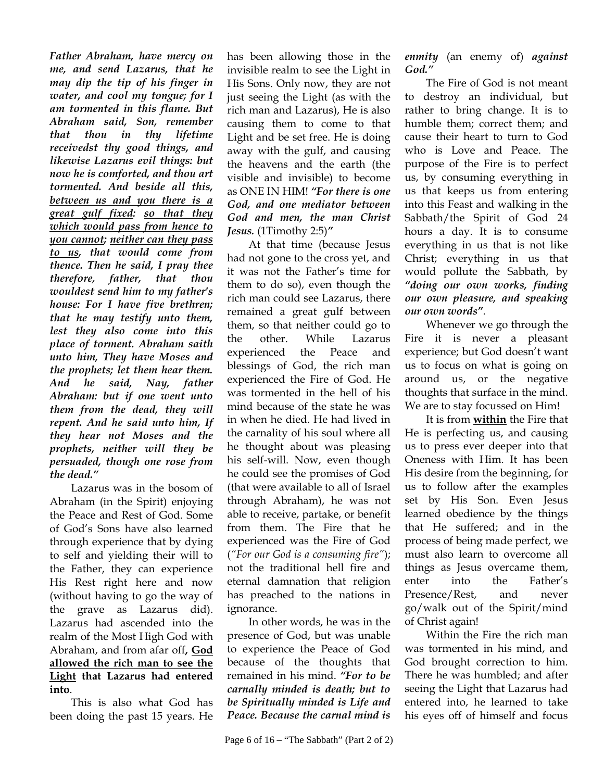*Father Abraham, have mercy on me, and send Lazarus, that he may dip the tip of his finger in water, and cool my tongue; for I am tormented in this flame. But Abraham said, Son, remember that thou in thy lifetime receivedst thy good things, and likewise Lazarus evil things: but now he is comforted, and thou art tormented. And beside all this, between us and you there is a great gulf fixed: so that they which would pass from hence to you cannot; neither can they pass to us, that would come from thence. Then he said, I pray thee therefore, father, that thou wouldest send him to my father's house: For I have five brethren; that he may testify unto them, lest they also come into this place of torment. Abraham saith unto him, They have Moses and the prophets; let them hear them. And he said, Nay, father Abraham: but if one went unto them from the dead, they will repent. And he said unto him, If they hear not Moses and the prophets, neither will they be persuaded, though one rose from the dead."*

Lazarus was in the bosom of Abraham (in the Spirit) enjoying the Peace and Rest of God. Some of God's Sons have also learned through experience that by dying to self and yielding their will to the Father, they can experience His Rest right here and now (without having to go the way of the grave as Lazarus did). Lazarus had ascended into the realm of the Most High God with Abraham, and from afar off**, God allowed the rich man to see the Light that Lazarus had entered into**.

This is also what God has been doing the past 15 years. He has been allowing those in the invisible realm to see the Light in His Sons. Only now, they are not just seeing the Light (as with the rich man and Lazarus), He is also causing them to come to that Light and be set free. He is doing away with the gulf, and causing the heavens and the earth (the visible and invisible) to become as ONE IN HIM! *"For there is one God, and one mediator between God and men, the man Christ Jesus.* (1Timothy 2:5)*"*

At that time (because Jesus had not gone to the cross yet, and it was not the Father's time for them to do so), even though the rich man could see Lazarus, there remained a great gulf between them, so that neither could go to the other. While Lazarus experienced the Peace and blessings of God, the rich man experienced the Fire of God. He was tormented in the hell of his mind because of the state he was in when he died. He had lived in the carnality of his soul where all he thought about was pleasing his self-will. Now, even though he could see the promises of God (that were available to all of Israel through Abraham), he was not able to receive, partake, or benefit from them. The Fire that he experienced was the Fire of God (*"For our God is a consuming fire"*); not the traditional hell fire and eternal damnation that religion has preached to the nations in ignorance.

In other words, he was in the presence of God, but was unable to experience the Peace of God because of the thoughts that remained in his mind. *"For to be carnally minded is death; but to be Spiritually minded is Life and Peace. Because the carnal mind is* 

*enmity* (an enemy of) *against God."* 

The Fire of God is not meant to destroy an individual, but rather to bring change. It is to humble them; correct them; and cause their heart to turn to God who is Love and Peace. The purpose of the Fire is to perfect us, by consuming everything in us that keeps us from entering into this Feast and walking in the Sabbath/the Spirit of God 24 hours a day. It is to consume everything in us that is not like Christ; everything in us that would pollute the Sabbath, by *"doing our own works, finding our own pleasure, and speaking our own words"*.

Whenever we go through the Fire it is never a pleasant experience; but God doesn't want us to focus on what is going on around us, or the negative thoughts that surface in the mind. We are to stay focussed on Him!

It is from **within** the Fire that He is perfecting us, and causing us to press ever deeper into that Oneness with Him. It has been His desire from the beginning, for us to follow after the examples set by His Son. Even Jesus learned obedience by the things that He suffered; and in the process of being made perfect, we must also learn to overcome all things as Jesus overcame them, enter into the Father's Presence/Rest, and never go/walk out of the Spirit/mind of Christ again!

Within the Fire the rich man was tormented in his mind, and God brought correction to him. There he was humbled; and after seeing the Light that Lazarus had entered into, he learned to take his eyes off of himself and focus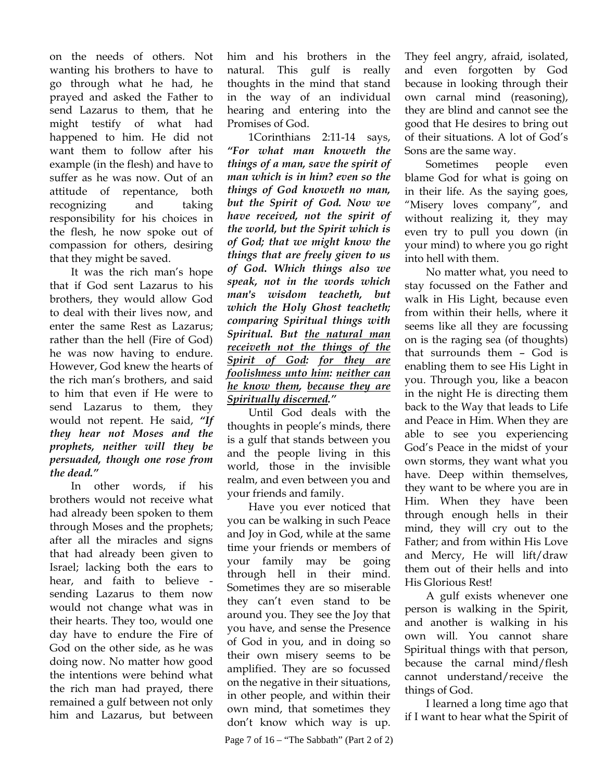on the needs of others. Not wanting his brothers to have to go through what he had, he prayed and asked the Father to send Lazarus to them, that he might testify of what had happened to him. He did not want them to follow after his example (in the flesh) and have to suffer as he was now. Out of an attitude of repentance, both recognizing and taking responsibility for his choices in the flesh, he now spoke out of compassion for others, desiring that they might be saved.

It was the rich man's hope that if God sent Lazarus to his brothers, they would allow God to deal with their lives now, and enter the same Rest as Lazarus; rather than the hell (Fire of God) he was now having to endure. However, God knew the hearts of the rich man's brothers, and said to him that even if He were to send Lazarus to them, they would not repent. He said, *"If they hear not Moses and the prophets, neither will they be persuaded, though one rose from the dead."* 

In other words, if his brothers would not receive what had already been spoken to them through Moses and the prophets; after all the miracles and signs that had already been given to Israel; lacking both the ears to hear, and faith to believe sending Lazarus to them now would not change what was in their hearts. They too, would one day have to endure the Fire of God on the other side, as he was doing now. No matter how good the intentions were behind what the rich man had prayed, there remained a gulf between not only him and Lazarus, but between

him and his brothers in the natural. This gulf is really thoughts in the mind that stand in the way of an individual hearing and entering into the Promises of God.

1Corinthians 2:11-14 says, *"For what man knoweth the things of a man, save the spirit of man which is in him? even so the things of God knoweth no man, but the Spirit of God. Now we have received, not the spirit of the world, but the Spirit which is of God; that we might know the things that are freely given to us of God***.** *Which things also we speak, not in the words which man's wisdom teacheth, but which the Holy Ghost teacheth; comparing Spiritual things with Spiritual. But the natural man receiveth not the things of the Spirit of God: for they are foolishness unto him: neither can he know them, because they are Spiritually discerned."* 

Until God deals with the thoughts in people's minds, there is a gulf that stands between you and the people living in this world, those in the invisible realm, and even between you and your friends and family.

Have you ever noticed that you can be walking in such Peace and Joy in God, while at the same time your friends or members of your family may be going through hell in their mind. Sometimes they are so miserable they can't even stand to be around you. They see the Joy that you have, and sense the Presence of God in you, and in doing so their own misery seems to be amplified. They are so focussed on the negative in their situations, in other people, and within their own mind, that sometimes they don't know which way is up. They feel angry, afraid, isolated, and even forgotten by God because in looking through their own carnal mind (reasoning), they are blind and cannot see the good that He desires to bring out of their situations. A lot of God's Sons are the same way.

Sometimes people even blame God for what is going on in their life. As the saying goes, "Misery loves company", and without realizing it, they may even try to pull you down (in your mind) to where you go right into hell with them.

No matter what, you need to stay focussed on the Father and walk in His Light, because even from within their hells, where it seems like all they are focussing on is the raging sea (of thoughts) that surrounds them – God is enabling them to see His Light in you. Through you, like a beacon in the night He is directing them back to the Way that leads to Life and Peace in Him. When they are able to see you experiencing God's Peace in the midst of your own storms, they want what you have. Deep within themselves, they want to be where you are in Him. When they have been through enough hells in their mind, they will cry out to the Father; and from within His Love and Mercy, He will lift/draw them out of their hells and into His Glorious Rest!

A gulf exists whenever one person is walking in the Spirit, and another is walking in his own will. You cannot share Spiritual things with that person, because the carnal mind/flesh cannot understand/receive the things of God.

I learned a long time ago that if I want to hear what the Spirit of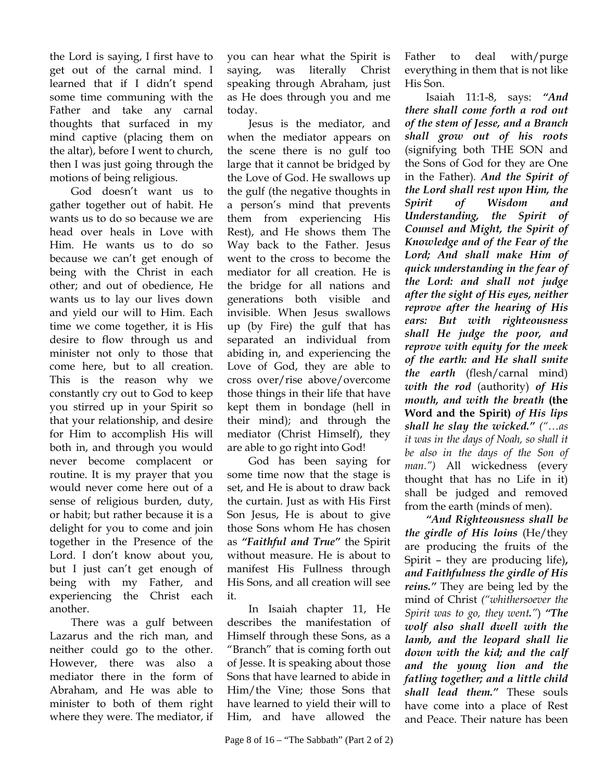the Lord is saying, I first have to get out of the carnal mind. I learned that if I didn't spend some time communing with the Father and take any carnal thoughts that surfaced in my mind captive (placing them on the altar), before I went to church, then I was just going through the motions of being religious.

God doesn't want us to gather together out of habit. He wants us to do so because we are head over heals in Love with Him. He wants us to do so because we can't get enough of being with the Christ in each other; and out of obedience, He wants us to lay our lives down and yield our will to Him. Each time we come together, it is His desire to flow through us and minister not only to those that come here, but to all creation. This is the reason why we constantly cry out to God to keep you stirred up in your Spirit so that your relationship, and desire for Him to accomplish His will both in, and through you would never become complacent or routine. It is my prayer that you would never come here out of a sense of religious burden, duty, or habit; but rather because it is a delight for you to come and join together in the Presence of the Lord. I don't know about you, but I just can't get enough of being with my Father, and experiencing the Christ each another.

There was a gulf between Lazarus and the rich man, and neither could go to the other. However, there was also a mediator there in the form of Abraham, and He was able to minister to both of them right where they were. The mediator, if you can hear what the Spirit is saying, was literally Christ speaking through Abraham, just as He does through you and me today.

Jesus is the mediator, and when the mediator appears on the scene there is no gulf too large that it cannot be bridged by the Love of God. He swallows up the gulf (the negative thoughts in a person's mind that prevents them from experiencing His Rest), and He shows them The Way back to the Father. Jesus went to the cross to become the mediator for all creation. He is the bridge for all nations and generations both visible and invisible. When Jesus swallows up (by Fire) the gulf that has separated an individual from abiding in, and experiencing the Love of God, they are able to cross over/rise above/overcome those things in their life that have kept them in bondage (hell in their mind); and through the mediator (Christ Himself), they are able to go right into God!

 God has been saying for some time now that the stage is set, and He is about to draw back the curtain. Just as with His First Son Jesus, He is about to give those Sons whom He has chosen as *"Faithful and True"* the Spirit without measure. He is about to manifest His Fullness through His Sons, and all creation will see it.

In Isaiah chapter 11, He describes the manifestation of Himself through these Sons, as a "Branch" that is coming forth out of Jesse. It is speaking about those Sons that have learned to abide in Him/the Vine; those Sons that have learned to yield their will to Him, and have allowed the Father to deal with/purge everything in them that is not like His Son.

Isaiah 11:1-8, says: *"And there shall come forth a rod out of the stem of Jesse, and a Branch shall grow out of his roots* (signifying both THE SON and the Sons of God for they are One in the Father)*. And the Spirit of the Lord shall rest upon Him, the Spirit of Wisdom and Understanding, the Spirit of Counsel and Might, the Spirit of Knowledge and of the Fear of the Lord; And shall make Him of quick understanding in the fear of the Lord: and shall not judge after the sight of His eyes, neither reprove after the hearing of His ears: But with righteousness shall He judge the poor, and reprove with equity for the meek of the earth: and He shall smite the earth* (flesh/carnal mind) *with the rod* (authority) *of His mouth, and with the breath* **(the Word and the Spirit)** *of His lips shall he slay the wicked." ("…as it was in the days of Noah, so shall it be also in the days of the Son of man.")* All wickedness (every thought that has no Life in it) shall be judged and removed from the earth (minds of men).

*"And Righteousness shall be the girdle of His loins* (He/they are producing the fruits of the Spirit – they are producing life)**,**  *and Faithfulness the girdle of His reins."* They are being led by the mind of Christ *("whithersoever the Spirit was to go, they went."*) *"The wolf also shall dwell with the lamb, and the leopard shall lie down with the kid; and the calf and the young lion and the fatling together; and a little child shall lead them."* These souls have come into a place of Rest and Peace. Their nature has been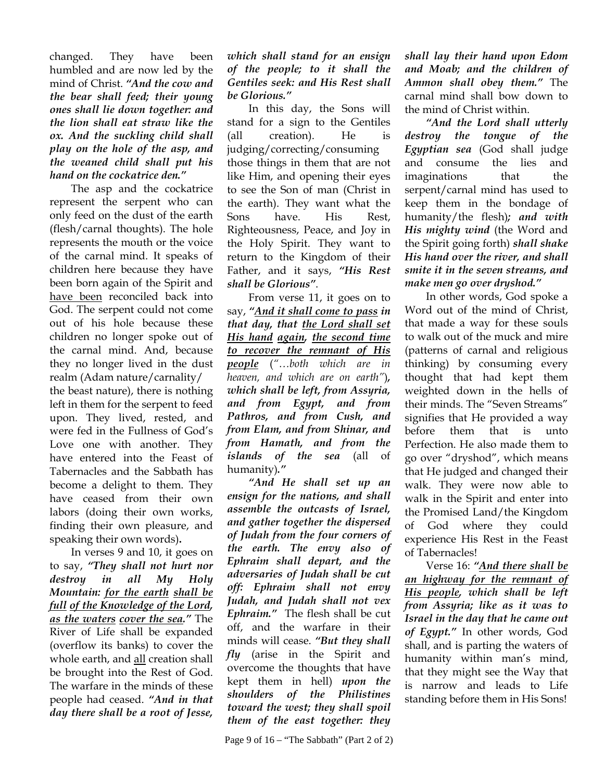changed. They have been humbled and are now led by the mind of Christ. *"And the cow and the bear shall feed; their young ones shall lie down together: and the lion shall eat straw like the ox. And the suckling child shall play on the hole of the asp, and the weaned child shall put his hand on the cockatrice den."*

 The asp and the cockatrice represent the serpent who can only feed on the dust of the earth (flesh/carnal thoughts). The hole represents the mouth or the voice of the carnal mind. It speaks of children here because they have been born again of the Spirit and have been reconciled back into God. The serpent could not come out of his hole because these children no longer spoke out of the carnal mind. And, because they no longer lived in the dust realm (Adam nature/carnality/ the beast nature), there is nothing left in them for the serpent to feed upon. They lived, rested, and were fed in the Fullness of God's Love one with another. They have entered into the Feast of Tabernacles and the Sabbath has become a delight to them. They have ceased from their own labors (doing their own works, finding their own pleasure, and speaking their own words)**.**

 In verses 9 and 10, it goes on to say, *"They shall not hurt nor destroy in all My Holy Mountain: for the earth shall be full of the Knowledge of the Lord, as the waters cover the sea."* The River of Life shall be expanded (overflow its banks) to cover the whole earth, and all creation shall be brought into the Rest of God. The warfare in the minds of these people had ceased. *"And in that day there shall be a root of Jesse,* 

#### *which shall stand for an ensign of the people; to it shall the Gentiles seek: and His Rest shall be Glorious."*

 In this day, the Sons will stand for a sign to the Gentiles (all creation). He is judging/correcting/consuming those things in them that are not like Him, and opening their eyes to see the Son of man (Christ in the earth). They want what the Sons have. His Rest, Righteousness, Peace, and Joy in the Holy Spirit. They want to return to the Kingdom of their Father, and it says, *"His Rest shall be Glorious"*.

 From verse 11, it goes on to say, *"And it shall come to pass in that day, that the Lord shall set His hand again, the second time to recover the remnant of His people* (*"…both which are in heaven, and which are on earth"*)*, which shall be left, from Assyria, and from Egypt, and from Pathros, and from Cush, and from Elam, and from Shinar, and from Hamath, and from the islands of the sea* (all of humanity)*."*

*"And He shall set up an ensign for the nations, and shall assemble the outcasts of Israel, and gather together the dispersed of Judah from the four corners of the earth. The envy also of Ephraim shall depart, and the adversaries of Judah shall be cut off: Ephraim shall not envy Judah, and Judah shall not vex Ephraim."*The flesh shall be cut off, and the warfare in their minds will cease. *"But they shall fly* (arise in the Spirit and overcome the thoughts that have kept them in hell) *upon the shoulders of the Philistines toward the west; they shall spoil them of the east together: they* 

*shall lay their hand upon Edom and Moab; and the children of Ammon shall obey them."* The carnal mind shall bow down to the mind of Christ within.

*"And the Lord shall utterly destroy the tongue of the Egyptian sea* (God shall judge and consume the lies and imaginations that the serpent/carnal mind has used to keep them in the bondage of humanity/the flesh)*; and with His mighty wind* (the Word and the Spirit going forth) *shall shake His hand over the river, and shall smite it in the seven streams, and make men go over dryshod."*

 In other words, God spoke a Word out of the mind of Christ, that made a way for these souls to walk out of the muck and mire (patterns of carnal and religious thinking) by consuming every thought that had kept them weighted down in the hells of their minds. The "Seven Streams" signifies that He provided a way before them that is unto Perfection. He also made them to go over "dryshod", which means that He judged and changed their walk. They were now able to walk in the Spirit and enter into the Promised Land/the Kingdom of God where they could experience His Rest in the Feast of Tabernacles!

 Verse 16: *"And there shall be an highway for the remnant of His people, which shall be left from Assyria; like as it was to Israel in the day that he came out of Egypt."* In other words, God shall, and is parting the waters of humanity within man's mind, that they might see the Way that is narrow and leads to Life standing before them in His Sons!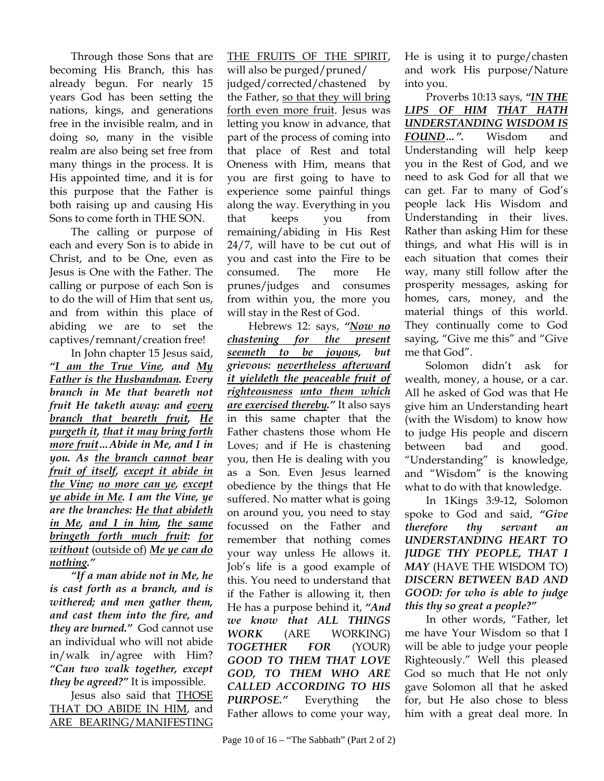Through those Sons that are becoming His Branch, this has already begun. For nearly 15 years God has been setting the nations, kings, and generations free in the invisible realm, and in doing so, many in the visible realm are also being set free from many things in the process. It is His appointed time, and it is for this purpose that the Father is both raising up and causing His Sons to come forth in THE SON.

The calling or purpose of each and every Son is to abide in Christ, and to be One, even as Jesus is One with the Father. The calling or purpose of each Son is to do the will of Him that sent us, and from within this place of abiding we are to set the captives/remnant/creation free!

In John chapter 15 Jesus said, *"I am the True Vine, and My Father is the Husbandman. Every branch in Me that beareth not fruit He taketh away: and every branch that beareth fruit, He purgeth it, that it may bring forth more fruit…Abide in Me, and I in you. As the branch cannot bear fruit of itself, except it abide in the Vine; no more can ye, except ye abide in Me. I am the Vine, ye are the branches: He that abideth in Me, and I in him, the same bringeth forth much fruit: for without* (outside of) *Me ye can do nothing."* 

*"If a man abide not in Me, he is cast forth as a branch, and is withered; and men gather them, and cast them into the fire, and they are burned."* God cannot use an individual who will not abide in/walk in/agree with Him? *"Can two walk together, except they be agreed?"* It is impossible.

Jesus also said that THOSE THAT DO ABIDE IN HIM, and ARE BEARING/MANIFESTING

THE FRUITS OF THE SPIRIT, will also be purged/pruned/ judged/corrected/chastened by the Father, so that they will bring forth even more fruit. Jesus was letting you know in advance, that part of the process of coming into that place of Rest and total Oneness with Him, means that you are first going to have to experience some painful things along the way. Everything in you that keeps you from remaining/abiding in His Rest 24/7, will have to be cut out of you and cast into the Fire to be consumed. The more He prunes/judges and consumes from within you, the more you will stay in the Rest of God.

Hebrews 12: says, *"Now no chastening for the present seemeth to be joyous, but grievous: nevertheless afterward it yieldeth the peaceable fruit of righteousness unto them which are exercised thereby."* It also says in this same chapter that the Father chastens those whom He Loves; and if He is chastening you, then He is dealing with you as a Son. Even Jesus learned obedience by the things that He suffered. No matter what is going on around you, you need to stay focussed on the Father and remember that nothing comes your way unless He allows it. Job's life is a good example of this. You need to understand that if the Father is allowing it, then He has a purpose behind it, *"And we know that ALL THINGS WORK* (ARE WORKING) *TOGETHER FOR* (YOUR) *GOOD TO THEM THAT LOVE GOD, TO THEM WHO ARE CALLED ACCORDING TO HIS PURPOSE."* Everything the Father allows to come your way,

He is using it to purge/chasten and work His purpose/Nature into you.

Proverbs 10:13 says, *"IN THE LIPS OF HIM THAT HATH UNDERSTANDING WISDOM IS FOUND…".* Wisdom and Understanding will help keep you in the Rest of God, and we need to ask God for all that we can get. Far to many of God's people lack His Wisdom and Understanding in their lives. Rather than asking Him for these things, and what His will is in each situation that comes their way, many still follow after the prosperity messages, asking for homes, cars, money, and the material things of this world. They continually come to God saying, "Give me this" and "Give me that God".

Solomon didn't ask for wealth, money, a house, or a car. All he asked of God was that He give him an Understanding heart (with the Wisdom) to know how to judge His people and discern between bad and good. "Understanding" is knowledge, and "Wisdom" is the knowing what to do with that knowledge.

In 1Kings 3:9-12, Solomon spoke to God and said, *"Give therefore thy servant an UNDERSTANDING HEART TO JUDGE THY PEOPLE, THAT I MAY* (HAVE THE WISDOM TO) *DISCERN BETWEEN BAD AND GOOD: for who is able to judge this thy so great a people?"* 

In other words, "Father, let me have Your Wisdom so that I will be able to judge your people Righteously." Well this pleased God so much that He not only gave Solomon all that he asked for, but He also chose to bless him with a great deal more. In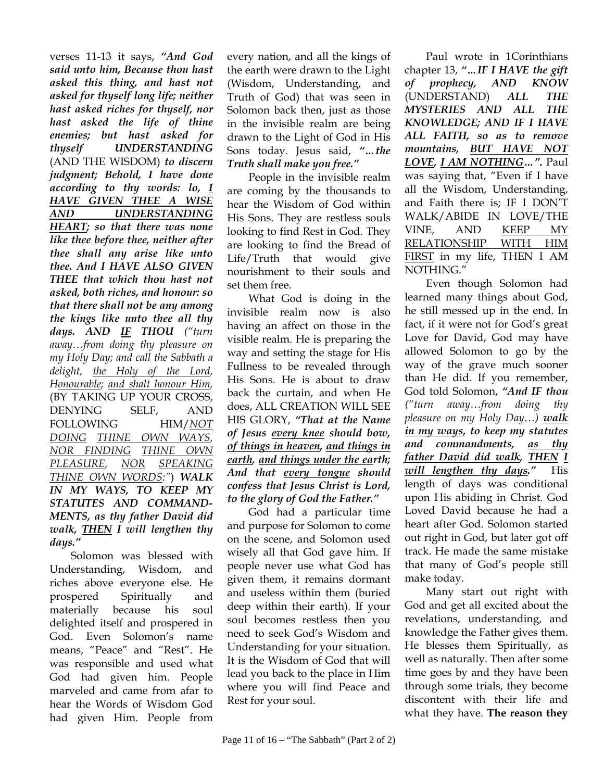verses 11-13 it says, *"And God said unto him, Because thou hast asked this thing, and hast not asked for thyself long life; neither hast asked riches for thyself, nor hast asked the life of thine enemies; but hast asked for thyself UNDERSTANDING*  (AND THE WISDOM) *to discern judgment; Behold, I have done according to thy words: lo, I HAVE GIVEN THEE A WISE AND UNDERSTANDING HEART; so that there was none like thee before thee, neither after thee shall any arise like unto thee. And I HAVE ALSO GIVEN THEE that which thou hast not asked, both riches, and honour: so that there shall not be any among the kings like unto thee all thy days. AND IF THOU ("turn away…from doing thy pleasure on my Holy Day; and call the Sabbath a delight, the Holy of the Lord, Honourable; and shalt honour Him,* (BY TAKING UP YOUR CROSS, DENYING SELF, AND FOLLOWING HIM/*NOT DOING THINE OWN WAYS, NOR FINDING THINE OWN PLEASURE, NOR SPEAKING THINE OWN WORDS:"*) *WALK IN MY WAYS, TO KEEP MY STATUTES AND COMMAND-MENTS, as thy father David did walk, THEN I will lengthen thy days."*

Solomon was blessed with Understanding, Wisdom, and riches above everyone else. He prospered Spiritually and materially because his soul delighted itself and prospered in God. Even Solomon's name means, "Peace" and "Rest". He was responsible and used what God had given him. People marveled and came from afar to hear the Words of Wisdom God had given Him. People from every nation, and all the kings of the earth were drawn to the Light (Wisdom, Understanding, and Truth of God) that was seen in Solomon back then, just as those in the invisible realm are being drawn to the Light of God in His Sons today. Jesus said, *"…the Truth shall make you free."*

People in the invisible realm are coming by the thousands to hear the Wisdom of God within His Sons. They are restless souls looking to find Rest in God. They are looking to find the Bread of Life/Truth that would give nourishment to their souls and set them free.

What God is doing in the invisible realm now is also having an affect on those in the visible realm. He is preparing the way and setting the stage for His Fullness to be revealed through His Sons. He is about to draw back the curtain, and when He does, ALL CREATION WILL SEE HIS GLORY, *"That at the Name of Jesus every knee should bow, of things in heaven, and things in earth, and things under the earth; And that every tongue should confess that Jesus Christ is Lord, to the glory of God the Father."*

God had a particular time and purpose for Solomon to come on the scene, and Solomon used wisely all that God gave him. If people never use what God has given them, it remains dormant and useless within them (buried deep within their earth). If your soul becomes restless then you need to seek God's Wisdom and Understanding for your situation. It is the Wisdom of God that will lead you back to the place in Him where you will find Peace and Rest for your soul.

Paul wrote in 1Corinthians chapter 13, *"…IF I HAVE the gift of prophecy, AND KNOW*  (UNDERSTAND) *ALL THE MYSTERIES AND ALL THE KNOWLEDGE; AND IF I HAVE ALL FAITH, so as to remove mountains, BUT HAVE NOT LOVE, I AM NOTHING…".* Paul was saying that, "Even if I have all the Wisdom, Understanding, and Faith there is; IF I DON'T WALK/ABIDE IN LOVE/THE VINE, AND KEEP MY RELATIONSHIP WITH HIM FIRST in my life, THEN I AM NOTHING."

Even though Solomon had learned many things about God, he still messed up in the end. In fact, if it were not for God's great Love for David, God may have allowed Solomon to go by the way of the grave much sooner than He did. If you remember, God told Solomon, *"And IF thou ("turn away…from doing thy pleasure on my Holy Day…) walk in my ways, to keep my statutes and commandments, as thy father David did walk, THEN I will lengthen thy days."* His length of days was conditional upon His abiding in Christ. God Loved David because he had a heart after God. Solomon started out right in God, but later got off track. He made the same mistake that many of God's people still make today.

Many start out right with God and get all excited about the revelations, understanding, and knowledge the Father gives them. He blesses them Spiritually, as well as naturally. Then after some time goes by and they have been through some trials, they become discontent with their life and what they have. **The reason they**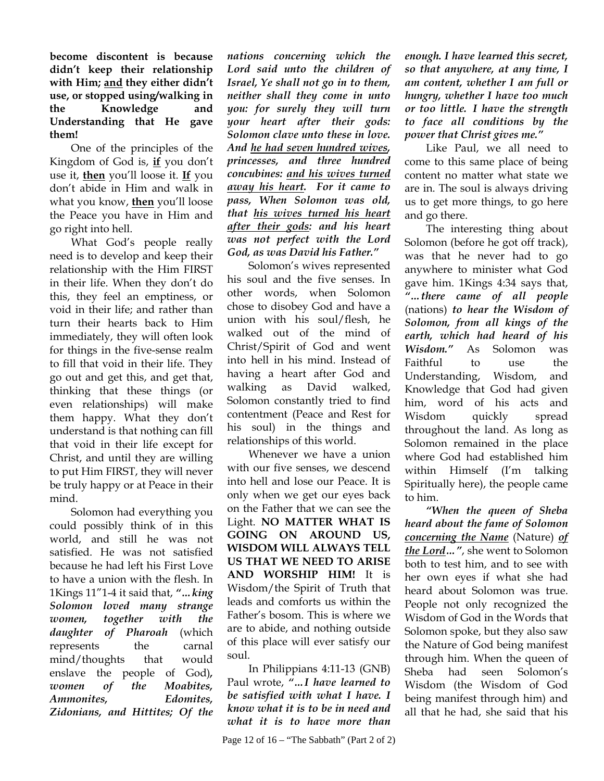**become discontent is because didn't keep their relationship with Him; and they either didn't use, or stopped using/walking in the Knowledge and Understanding that He gave them!**

One of the principles of the Kingdom of God is, **if** you don't use it, **then** you'll loose it. **If** you don't abide in Him and walk in what you know, **then** you'll loose the Peace you have in Him and go right into hell.

What God's people really need is to develop and keep their relationship with the Him FIRST in their life. When they don't do this, they feel an emptiness, or void in their life; and rather than turn their hearts back to Him immediately, they will often look for things in the five-sense realm to fill that void in their life. They go out and get this, and get that, thinking that these things (or even relationships) will make them happy. What they don't understand is that nothing can fill that void in their life except for Christ, and until they are willing to put Him FIRST, they will never be truly happy or at Peace in their mind.

Solomon had everything you could possibly think of in this world, and still he was not satisfied. He was not satisfied because he had left his First Love to have a union with the flesh. In 1Kings 11"1-4 it said that, *"…king Solomon loved many strange women, together with the daughter of Pharoah* (which represents the carnal mind/thoughts that would enslave the people of God)*, women of the Moabites, Ammonites, Edomites, Zidonians, and Hittites; Of the* 

*nations concerning which the Lord said unto the children of Israel, Ye shall not go in to them, neither shall they come in unto you: for surely they will turn your heart after their gods: Solomon clave unto these in love. And he had seven hundred wives, princesses, and three hundred concubines: and his wives turned away his heart. For it came to pass, When Solomon was old, that his wives turned his heart after their gods: and his heart was not perfect with the Lord God, as was David his Father."*

Solomon's wives represented his soul and the five senses. In other words, when Solomon chose to disobey God and have a union with his soul/flesh, he walked out of the mind of Christ/Spirit of God and went into hell in his mind. Instead of having a heart after God and walking as David walked, Solomon constantly tried to find contentment (Peace and Rest for his soul) in the things and relationships of this world.

Whenever we have a union with our five senses, we descend into hell and lose our Peace. It is only when we get our eyes back on the Father that we can see the Light. **NO MATTER WHAT IS GOING ON AROUND US, WISDOM WILL ALWAYS TELL US THAT WE NEED TO ARISE AND WORSHIP HIM!** It is Wisdom/the Spirit of Truth that leads and comforts us within the Father's bosom. This is where we are to abide, and nothing outside of this place will ever satisfy our soul.

In Philippians 4:11-13 (GNB) Paul wrote, *"…I have learned to be satisfied with what I have. I know what it is to be in need and what it is to have more than* 

*enough. I have learned this secret, so that anywhere, at any time, I am content, whether I am full or hungry, whether I have too much or too little. I have the strength to face all conditions by the power that Christ gives me."* 

Like Paul, we all need to come to this same place of being content no matter what state we are in. The soul is always driving us to get more things, to go here and go there.

The interesting thing about Solomon (before he got off track), was that he never had to go anywhere to minister what God gave him. 1Kings 4:34 says that, *"…there came of all people* (nations) *to hear the Wisdom of Solomon, from all kings of the earth, which had heard of his Wisdom."* As Solomon was Faithful to use the Understanding, Wisdom, and Knowledge that God had given him, word of his acts and Wisdom quickly spread throughout the land. As long as Solomon remained in the place where God had established him within Himself (I'm talking Spiritually here), the people came to him.

*"When the queen of Sheba heard about the fame of Solomon concerning the Name* (Nature) *of the Lord…"*, she went to Solomon both to test him, and to see with her own eyes if what she had heard about Solomon was true. People not only recognized the Wisdom of God in the Words that Solomon spoke, but they also saw the Nature of God being manifest through him. When the queen of Sheba had seen Solomon's Wisdom (the Wisdom of God being manifest through him) and all that he had, she said that his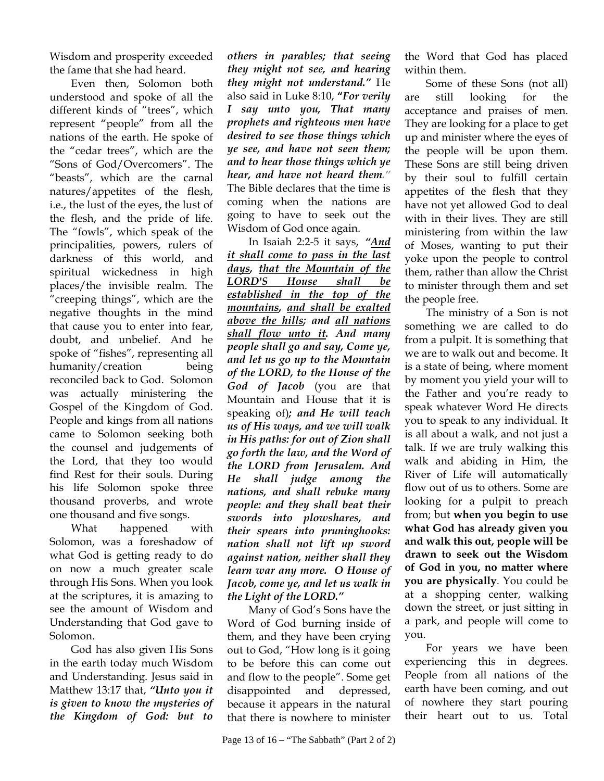Wisdom and prosperity exceeded the fame that she had heard.

Even then, Solomon both understood and spoke of all the different kinds of "trees", which represent "people" from all the nations of the earth. He spoke of the "cedar trees", which are the "Sons of God/Overcomers". The "beasts", which are the carnal natures/appetites of the flesh, i.e., the lust of the eyes, the lust of the flesh, and the pride of life. The "fowls", which speak of the principalities, powers, rulers of darkness of this world, and spiritual wickedness in high places/the invisible realm. The "creeping things", which are the negative thoughts in the mind that cause you to enter into fear, doubt, and unbelief. And he spoke of "fishes", representing all humanity/creation being reconciled back to God. Solomon was actually ministering the Gospel of the Kingdom of God. People and kings from all nations came to Solomon seeking both the counsel and judgements of the Lord, that they too would find Rest for their souls. During his life Solomon spoke three thousand proverbs, and wrote one thousand and five songs.

What happened with Solomon, was a foreshadow of what God is getting ready to do on now a much greater scale through His Sons. When you look at the scriptures, it is amazing to see the amount of Wisdom and Understanding that God gave to Solomon.

God has also given His Sons in the earth today much Wisdom and Understanding. Jesus said in Matthew 13:17 that, *"Unto you it is given to know the mysteries of the Kingdom of God: but to* 

*others in parables; that seeing they might not see, and hearing they might not understand."* He also said in Luke 8:10, **"***For verily I say unto you, That many prophets and righteous men have desired to see those things which ye see, and have not seen them; and to hear those things which ye hear, and have not heard them."* The Bible declares that the time is coming when the nations are going to have to seek out the Wisdom of God once again.

In Isaiah 2:2-5 it says, *"And it shall come to pass in the last days, that the Mountain of the LORD'S House shall be established in the top of the mountains, and shall be exalted above the hills; and all nations shall flow unto it. And many people shall go and say, Come ye, and let us go up to the Mountain of the LORD, to the House of the God of Jacob* (you are that Mountain and House that it is speaking of)*; and He will teach us of His ways, and we will walk in His paths: for out of Zion shall go forth the law, and the Word of the LORD from Jerusalem. And He shall judge among the nations, and shall rebuke many people: and they shall beat their swords into plowshares, and their spears into pruninghooks: nation shall not lift up sword against nation, neither shall they learn war any more. O House of Jacob, come ye, and let us walk in the Light of the LORD."*

Many of God's Sons have the Word of God burning inside of them, and they have been crying out to God, "How long is it going to be before this can come out and flow to the people". Some get disappointed and depressed, because it appears in the natural that there is nowhere to minister the Word that God has placed within them.

Some of these Sons (not all) are still looking for the acceptance and praises of men. They are looking for a place to get up and minister where the eyes of the people will be upon them. These Sons are still being driven by their soul to fulfill certain appetites of the flesh that they have not yet allowed God to deal with in their lives. They are still ministering from within the law of Moses, wanting to put their yoke upon the people to control them, rather than allow the Christ to minister through them and set the people free.

The ministry of a Son is not something we are called to do from a pulpit. It is something that we are to walk out and become. It is a state of being, where moment by moment you yield your will to the Father and you're ready to speak whatever Word He directs you to speak to any individual. It is all about a walk, and not just a talk. If we are truly walking this walk and abiding in Him, the River of Life will automatically flow out of us to others. Some are looking for a pulpit to preach from; but **when you begin to use what God has already given you and walk this out, people will be drawn to seek out the Wisdom of God in you, no matter where you are physically**. You could be at a shopping center, walking down the street, or just sitting in a park, and people will come to you.

For years we have been experiencing this in degrees. People from all nations of the earth have been coming, and out of nowhere they start pouring their heart out to us. Total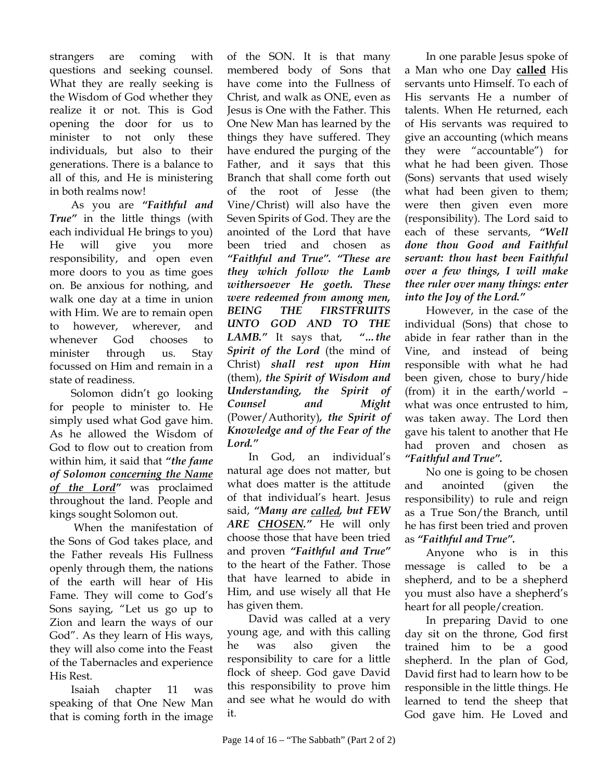strangers are coming with questions and seeking counsel. What they are really seeking is the Wisdom of God whether they realize it or not. This is God opening the door for us to minister to not only these individuals, but also to their generations. There is a balance to all of this, and He is ministering in both realms now!

As you are *"Faithful and True"* in the little things (with each individual He brings to you) He will give you more responsibility, and open even more doors to you as time goes on. Be anxious for nothing, and walk one day at a time in union with Him. We are to remain open to however, wherever, and whenever God chooses to minister through us. Stay focussed on Him and remain in a state of readiness.

Solomon didn't go looking for people to minister to. He simply used what God gave him. As he allowed the Wisdom of God to flow out to creation from within him, it said that *"the fame of Solomon concerning the Name of the Lord"* was proclaimed throughout the land. People and kings sought Solomon out.

 When the manifestation of the Sons of God takes place, and the Father reveals His Fullness openly through them, the nations of the earth will hear of His Fame. They will come to God's Sons saying, "Let us go up to Zion and learn the ways of our God". As they learn of His ways, they will also come into the Feast of the Tabernacles and experience His Rest.

Isaiah chapter 11 was speaking of that One New Man that is coming forth in the image

of the SON. It is that many membered body of Sons that have come into the Fullness of Christ, and walk as ONE, even as Jesus is One with the Father. This One New Man has learned by the things they have suffered. They have endured the purging of the Father, and it says that this Branch that shall come forth out of the root of Jesse (the Vine/Christ) will also have the Seven Spirits of God. They are the anointed of the Lord that have been tried and chosen as *"Faithful and True". "These are they which follow the Lamb withersoever He goeth. These were redeemed from among men, BEING THE FIRSTFRUITS UNTO GOD AND TO THE LAMB."* It says that, *"…the Spirit of the Lord* (the mind of Christ) *shall rest upon Him* (them), *the Spirit of Wisdom and Understanding, the Spirit of Counsel and Might*  (Power/Authority)*, the Spirit of Knowledge and of the Fear of the Lord."* 

In God, an individual's natural age does not matter, but what does matter is the attitude of that individual's heart. Jesus said, *"Many are called, but FEW ARE CHOSEN."* He will only choose those that have been tried and proven *"Faithful and True"* to the heart of the Father. Those that have learned to abide in Him, and use wisely all that He has given them.

David was called at a very young age, and with this calling he was also given the responsibility to care for a little flock of sheep. God gave David this responsibility to prove him and see what he would do with it.

In one parable Jesus spoke of a Man who one Day **called** His servants unto Himself. To each of His servants He a number of talents. When He returned, each of His servants was required to give an accounting (which means they were "accountable") for what he had been given. Those (Sons) servants that used wisely what had been given to them; were then given even more (responsibility). The Lord said to each of these servants, *"Well done thou Good and Faithful servant: thou hast been Faithful over a few things, I will make thee ruler over many things: enter into the Joy of the Lord."*

However, in the case of the individual (Sons) that chose to abide in fear rather than in the Vine, and instead of being responsible with what he had been given, chose to bury/hide (from) it in the earth/world – what was once entrusted to him, was taken away. The Lord then gave his talent to another that He had proven and chosen as *"Faithful and True".*

No one is going to be chosen and anointed (given the responsibility) to rule and reign as a True Son/the Branch, until he has first been tried and proven as *"Faithful and True".* 

Anyone who is in this message is called to be a shepherd, and to be a shepherd you must also have a shepherd's heart for all people/creation.

In preparing David to one day sit on the throne, God first trained him to be a good shepherd. In the plan of God, David first had to learn how to be responsible in the little things. He learned to tend the sheep that God gave him. He Loved and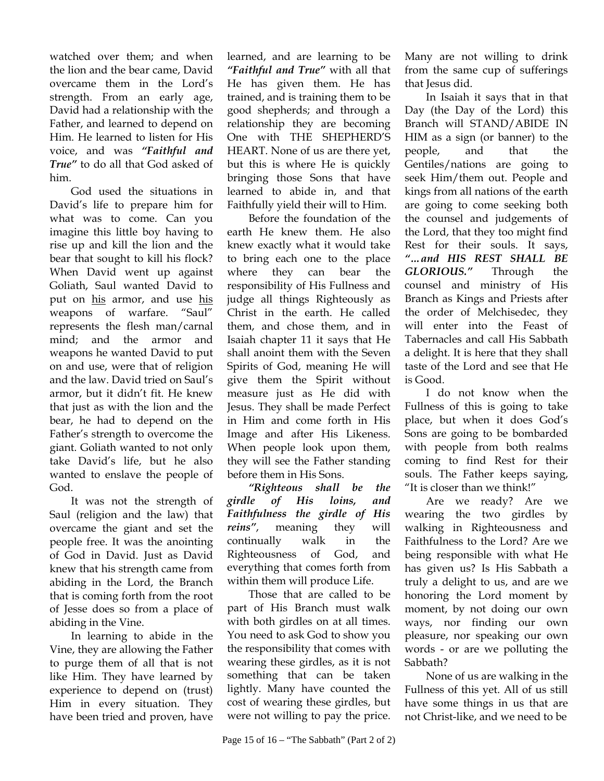watched over them; and when the lion and the bear came, David overcame them in the Lord's strength. From an early age, David had a relationship with the Father, and learned to depend on Him. He learned to listen for His voice, and was *"Faithful and True"* to do all that God asked of him.

God used the situations in David's life to prepare him for what was to come. Can you imagine this little boy having to rise up and kill the lion and the bear that sought to kill his flock? When David went up against Goliath, Saul wanted David to put on his armor, and use his weapons of warfare. "Saul" represents the flesh man/carnal mind; and the armor and weapons he wanted David to put on and use, were that of religion and the law. David tried on Saul's armor, but it didn't fit. He knew that just as with the lion and the bear, he had to depend on the Father's strength to overcome the giant. Goliath wanted to not only take David's life, but he also wanted to enslave the people of God.

It was not the strength of Saul (religion and the law) that overcame the giant and set the people free. It was the anointing of God in David. Just as David knew that his strength came from abiding in the Lord, the Branch that is coming forth from the root of Jesse does so from a place of abiding in the Vine.

In learning to abide in the Vine, they are allowing the Father to purge them of all that is not like Him. They have learned by experience to depend on (trust) Him in every situation. They have been tried and proven, have learned, and are learning to be *"Faithful and True"* with all that He has given them. He has trained, and is training them to be good shepherds; and through a relationship they are becoming One with THE SHEPHERD'S HEART. None of us are there yet, but this is where He is quickly bringing those Sons that have learned to abide in, and that Faithfully yield their will to Him.

Before the foundation of the earth He knew them. He also knew exactly what it would take to bring each one to the place where they can bear the responsibility of His Fullness and judge all things Righteously as Christ in the earth. He called them, and chose them, and in Isaiah chapter 11 it says that He shall anoint them with the Seven Spirits of God, meaning He will give them the Spirit without measure just as He did with Jesus. They shall be made Perfect in Him and come forth in His Image and after His Likeness. When people look upon them, they will see the Father standing before them in His Sons.

*"Righteous shall be the girdle of His loins, and Faithfulness the girdle of His reins"*, meaning they will continually walk in the Righteousness of God, and everything that comes forth from within them will produce Life.

Those that are called to be part of His Branch must walk with both girdles on at all times. You need to ask God to show you the responsibility that comes with wearing these girdles, as it is not something that can be taken lightly. Many have counted the cost of wearing these girdles, but were not willing to pay the price.

Many are not willing to drink from the same cup of sufferings that Jesus did.

In Isaiah it says that in that Day (the Day of the Lord) this Branch will STAND/ABIDE IN HIM as a sign (or banner) to the people, and that the Gentiles/nations are going to seek Him/them out. People and kings from all nations of the earth are going to come seeking both the counsel and judgements of the Lord, that they too might find Rest for their souls. It says, *"…and HIS REST SHALL BE GLORIOUS."* Through the counsel and ministry of His Branch as Kings and Priests after the order of Melchisedec, they will enter into the Feast of Tabernacles and call His Sabbath a delight. It is here that they shall taste of the Lord and see that He is Good.

I do not know when the Fullness of this is going to take place, but when it does God's Sons are going to be bombarded with people from both realms coming to find Rest for their souls. The Father keeps saying, "It is closer than we think!"

Are we ready? Are we wearing the two girdles by walking in Righteousness and Faithfulness to the Lord? Are we being responsible with what He has given us? Is His Sabbath a truly a delight to us, and are we honoring the Lord moment by moment, by not doing our own ways, nor finding our own pleasure, nor speaking our own words - or are we polluting the Sabbath?

None of us are walking in the Fullness of this yet. All of us still have some things in us that are not Christ-like, and we need to be